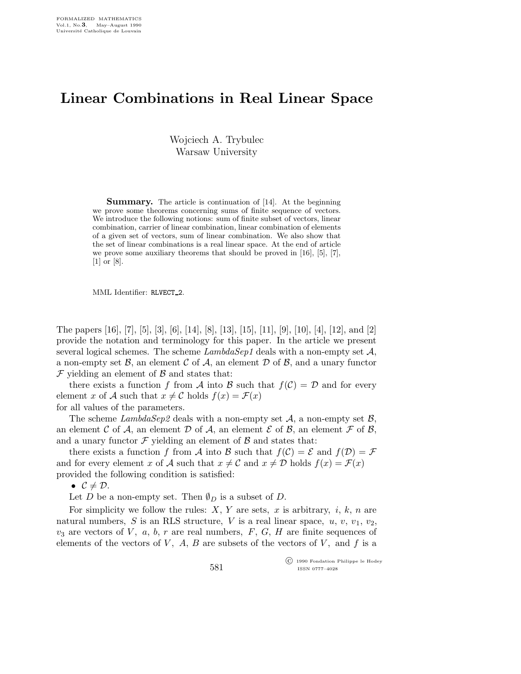## Linear Combinations in Real Linear Space

Wojciech A. Trybulec Warsaw University

**Summary.** The article is continuation of [14]. At the beginning we prove some theorems concerning sums of finite sequence of vectors. We introduce the following notions: sum of finite subset of vectors, linear combination, carrier of linear combination, linear combination of elements of a given set of vectors, sum of linear combination. We also show that the set of linear combinations is a real linear space. At the end of article we prove some auxiliary theorems that should be proved in [16], [5], [7], [1] or [8].

MML Identifier: RLVECT<sub>-2</sub>.

The papers [16], [7], [5], [3], [6], [14], [8], [13], [15], [11], [9], [10], [4], [12], and [2] provide the notation and terminology for this paper. In the article we present several logical schemes. The scheme  $LambdaSep1$  deals with a non-empty set  $A$ , a non-empty set  $\mathcal{B}$ , an element  $\mathcal{C}$  of  $\mathcal{A}$ , an element  $\mathcal{D}$  of  $\mathcal{B}$ , and a unary functor  $\mathcal F$  yielding an element of  $\mathcal B$  and states that:

there exists a function f from A into B such that  $f(\mathcal{C}) = \mathcal{D}$  and for every element x of A such that  $x \neq C$  holds  $f(x) = \mathcal{F}(x)$ 

for all values of the parameters.

The scheme  $LambdaSep2$  deals with a non-empty set  $A$ , a non-empty set  $B$ , an element C of A, an element D of A, an element E of B, an element  $\mathcal F$  of B, and a unary functor  $\mathcal F$  yielding an element of  $\mathcal B$  and states that:

there exists a function f from A into B such that  $f(\mathcal{C}) = \mathcal{E}$  and  $f(\mathcal{D}) = \mathcal{F}$ and for every element x of A such that  $x \neq C$  and  $x \neq D$  holds  $f(x) = \mathcal{F}(x)$ provided the following condition is satisfied:

•  $C \neq \mathcal{D}$ .

Let D be a non-empty set. Then  $\emptyset_D$  is a subset of D.

For simplicity we follow the rules:  $X, Y$  are sets, x is arbitrary, i, k, n are natural numbers, S is an RLS structure, V is a real linear space,  $u, v, v_1, v_2$ ,  $v_3$  are vectors of V, a, b, r are real numbers, F, G, H are finite sequences of elements of the vectors of  $V$ ,  $A$ ,  $B$  are subsets of the vectors of  $V$ , and  $f$  is a

> c 1990 Fondation Philippe le Hodey ISSN 0777–4028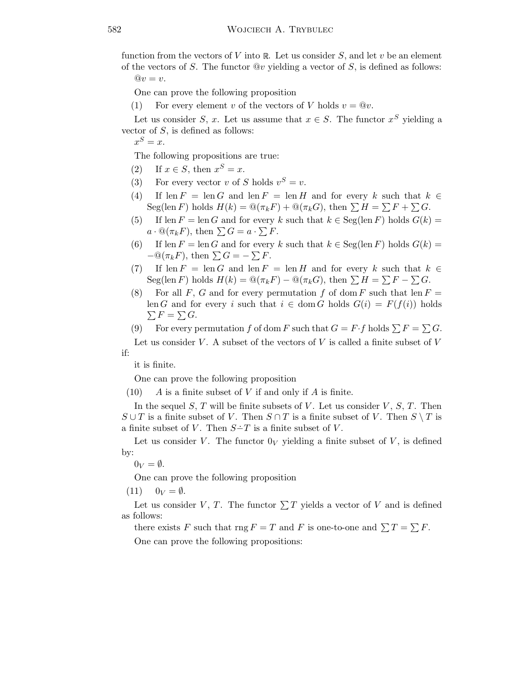function from the vectors of V into  $\mathbb R$ . Let us consider S, and let v be an element of the vectors of S. The functor  $\mathbb{Q}v$  yielding a vector of S, is defined as follows:

 $@v = v.$ 

One can prove the following proposition

(1) For every element v of the vectors of V holds  $v = \mathbb{Q}v$ .

Let us consider S, x. Let us assume that  $x \in S$ . The functor  $x^S$  yielding a vector of  $S$ , is defined as follows:

 $x^S = x.$ 

The following propositions are true:

- (2) If  $x \in S$ , then  $x^S = x$ .
- (3) For every vector v of S holds  $v^S = v$ .
- (4) If len  $F = \text{len } G$  and len  $F = \text{len } H$  and for every k such that  $k \in$ Seg(len F) holds  $H(k) = \mathcal{Q}(\pi_k F) + \mathcal{Q}(\pi_k G)$ , then  $\sum H = \sum F + \sum G$ .
- (5) If len  $F = \text{len } G$  and for every k such that  $k \in \text{Seg}(\text{len } F)$  holds  $G(k) =$  $a \cdot \mathbb{Q}(\pi_k F)$ , then  $\sum G = a \cdot \sum F$ .
- (6) If len  $F = \text{len } G$  and for every k such that  $k \in \text{Seg}(\text{len } F)$  holds  $G(k) =$  $-\mathbb{Q}(\pi_k F)$ , then  $\sum G = -\sum F$ .
- (7) If len  $F = \text{len } G$  and len  $F = \text{len } H$  and for every k such that  $k \in$  $\operatorname{Seg}(\operatorname{len} F)$  holds  $H(k) = \mathcal{Q}(\pi_k F) - \mathcal{Q}(\pi_k G)$ , then  $\sum H = \sum F - \sum G$ .
- (8) For all F, G and for every permutation f of dom F such that len  $F =$ len G and for every i such that  $i \in \text{dom } G$  holds  $G(i) = F(f(i))$  holds  $\sum F = \sum G$ .
- (9) For every permutation f of dom F such that  $G = F \cdot f$  holds  $\sum F = \sum G$ . Let us consider V. A subset of the vectors of V is called a finite subset of  $V$

if:

it is finite.

One can prove the following proposition

 $(10)$  A is a finite subset of V if and only if A is finite.

In the sequel S, T will be finite subsets of V. Let us consider  $V, S, T$ . Then  $S \cup T$  is a finite subset of V. Then  $S \cap T$  is a finite subset of V. Then  $S \setminus T$  is a finite subset of V. Then  $S-T$  is a finite subset of V.

Let us consider V. The functor  $0_V$  yielding a finite subset of V, is defined by:

 $0_V = \emptyset$ .

One can prove the following proposition

 $(11)$   $0_V = \emptyset$ .

Let us consider V, T. The functor  $\sum T$  yields a vector of V and is defined as follows:

there exists F such that  $\text{rng } F = T$  and F is one-to-one and  $\sum T = \sum F$ .

One can prove the following propositions: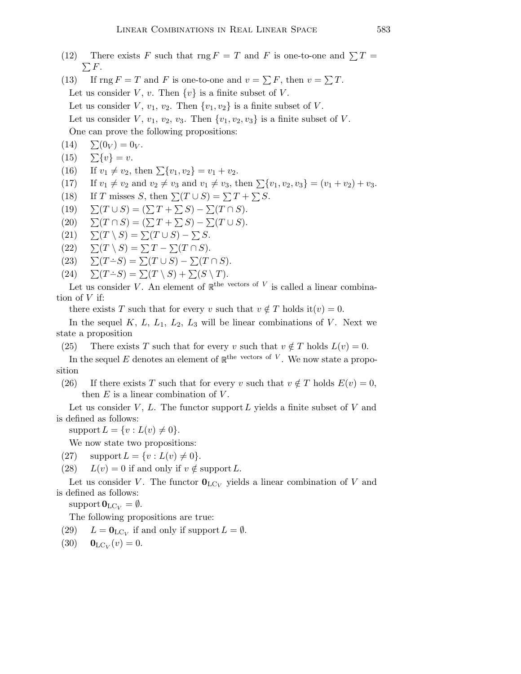- (12) There exists F such that rng  $F = T$  and F is one-to-one and  $\sum T =$  $\sum F$ .
- (13) If  $\text{rng } F = T$  and F is one-to-one and  $v = \sum F$ , then  $v = \sum T$ . Let us consider V, v. Then  $\{v\}$  is a finite subset of V. Let us consider V,  $v_1, v_2$ . Then  $\{v_1, v_2\}$  is a finite subset of V. Let us consider V,  $v_1$ ,  $v_2$ ,  $v_3$ . Then  $\{v_1, v_2, v_3\}$  is a finite subset of V. One can prove the following propositions:
- $(14) \quad \Sigma(0_V) = 0_V.$
- $(15)$   $\sum \{v\} = v.$
- (16) If  $v_1 \neq v_2$ , then  $\sum \{v_1, v_2\} = v_1 + v_2$ .
- (17) If  $v_1 \neq v_2$  and  $v_2 \neq v_3$  and  $v_1 \neq v_3$ , then  $\sum \{v_1, v_2, v_3\} = (v_1 + v_2) + v_3$ .
- (18) If T misses S, then  $\Sigma(T \cup S) = \Sigma T + \Sigma S$ .
- (19)  $\sum(T \cup S) = (\sum T + \sum S) \sum(T \cap S).$
- $(20) \qquad \sum(T \cap S) = (\sum T + \sum S) \sum(T \cup S).$
- $(21) \quad \Sigma(T \setminus S) = \Sigma(T \cup S) \Sigma S.$
- $(22) \quad \Sigma(T \setminus S) = \Sigma T \Sigma(T \cap S).$
- (23)  $\sum (T-S) = \sum (T \cup S) \sum (T \cap S).$
- (24)  $\sum(T-S) = \sum(T \setminus S) + \sum(S \setminus T).$

Let us consider V. An element of  $\mathbb{R}^{the}$  vectors of V is called a linear combination of  $V$  if:

there exists T such that for every v such that  $v \notin T$  holds it $(v) = 0$ .

In the sequel  $K, L, L_1, L_2, L_3$  will be linear combinations of V. Next we state a proposition

(25) There exists T such that for every v such that  $v \notin T$  holds  $L(v) = 0$ .

In the sequel E denotes an element of  $\mathbb{R}^{the}$  vectors of V. We now state a proposition

(26) If there exists T such that for every v such that  $v \notin T$  holds  $E(v) = 0$ , then  $E$  is a linear combination of  $V$ .

Let us consider  $V, L$ . The functor support  $L$  yields a finite subset of  $V$  and is defined as follows:

support  $L = \{v : L(v) \neq 0\}.$ 

We now state two propositions:

- (27) support  $L = \{v : L(v) \neq 0\}.$
- (28)  $L(v) = 0$  if and only if  $v \notin \text{support } L$ .

Let us consider V. The functor  $\mathbf{0}_{\text{LC}_V}$  yields a linear combination of V and is defined as follows:

support  $\mathbf{0}_{\mathrm{LC}_V} = \emptyset$ .

The following propositions are true:

- (29)  $L = \mathbf{0}_{\text{LC}_V}$  if and only if support  $L = \emptyset$ .
- (30)  $\mathbf{0}_{\text{LC}_V}(v) = 0.$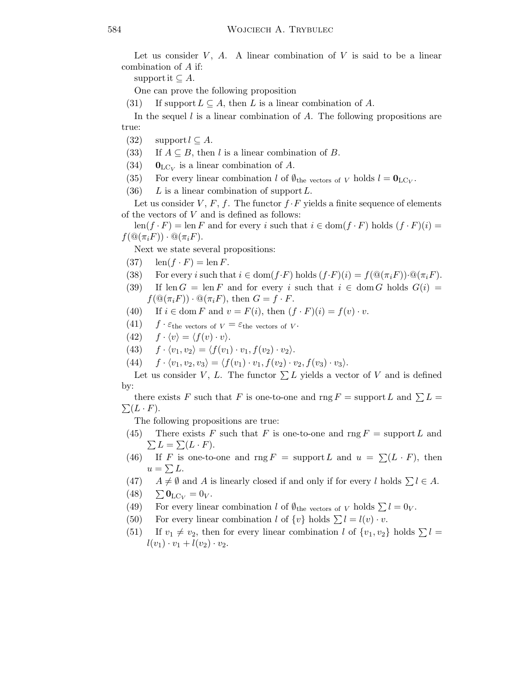Let us consider  $V$ ,  $A$ . A linear combination of  $V$  is said to be a linear combination of A if:

support it  $\subseteq A$ .

One can prove the following proposition

(31) If support  $L \subseteq A$ , then L is a linear combination of A.

In the sequel  $l$  is a linear combination of  $A$ . The following propositions are true:

- (32) support  $l \subseteq A$ .
- (33) If  $A \subseteq B$ , then l is a linear combination of B.
- (34)  $\mathbf{0}_{\text{LC}_V}$  is a linear combination of A.
- (35) For every linear combination l of  $\emptyset_{\text{the vectors of }V}$  holds  $l = \mathbf{0}_{\text{LC}_V}$ .
- (36) L is a linear combination of support  $L$ .

Let us consider V, F, f. The functor  $f \cdot F$  yields a finite sequence of elements of the vectors of  $V$  and is defined as follows:

 $\text{len}(f \cdot F) = \text{len } F$  and for every i such that  $i \in \text{dom}(f \cdot F)$  holds  $(f \cdot F)(i) =$  $f(\mathbb{Q}(\pi_i F)) \cdot \mathbb{Q}(\pi_i F)$ .

Next we state several propositions:

- $(37)$  len $(f \cdot F) = \text{len } F$ .
- (38) For every i such that  $i \in \text{dom}(f \cdot F)$  holds  $(f \cdot F)(i) = f(\mathbb{Q}(\pi_i F)) \cdot \mathbb{Q}(\pi_i F)$ .
- (39) If len  $G = \text{len } F$  and for every i such that  $i \in \text{dom } G$  holds  $G(i) =$  $f(\mathcal{Q}(\pi_i F)) \cdot \mathcal{Q}(\pi_i F)$ , then  $G = f \cdot F$ .
- (40) If  $i \in \text{dom } F$  and  $v = F(i)$ , then  $(f \cdot F)(i) = f(v) \cdot v$ .
- $(41)$  f  $\cdot \varepsilon$ the vectors of  $V = \varepsilon$ the vectors of V.
- (42)  $f \cdot \langle v \rangle = \langle f(v) \cdot v \rangle.$
- (43)  $f \cdot \langle v_1, v_2 \rangle = \langle f(v_1) \cdot v_1, f(v_2) \cdot v_2 \rangle.$
- (44)  $f \cdot \langle v_1, v_2, v_3 \rangle = \langle f(v_1) \cdot v_1, f(v_2) \cdot v_2, f(v_3) \cdot v_3 \rangle.$

Let us consider V, L. The functor  $\sum L$  yields a vector of V and is defined by:

there exists F such that F is one-to-one and  $\text{rng } F = \text{support } L$  and  $\sum L =$  $\sum (L \cdot F).$ 

The following propositions are true:

- (45) There exists F such that F is one-to-one and rng  $F =$  support L and  $\sum L = \sum (L \cdot F).$
- (46) If F is one-to-one and rng  $F = \text{support } L$  and  $u = \sum (L \cdot F)$ , then  $u = \sum L$ .
- (47)  $A \neq \emptyset$  and A is linearly closed if and only if for every l holds  $\sum l \in A$ .
- $(48) \quad \sum_{{\bf U}_{\bf C}V} {\bf 0}_{\bf C} = 0_V.$
- (49) For every linear combination l of  $\emptyset_{\text{the vectors of }V}$  holds  $\sum l = 0_V$ .
- (50) For every linear combination l of  $\{v\}$  holds  $\sum l = l(v) \cdot v$ .
- (51) If  $v_1 \neq v_2$ , then for every linear combination l of  $\{v_1, v_2\}$  holds  $\Sigma l =$  $l(v_1)\cdot v_1 + l(v_2)\cdot v_2.$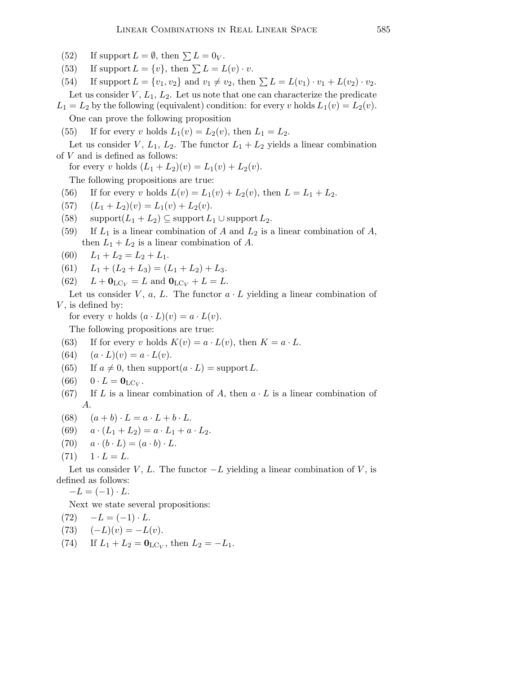- (52) If support  $L = \emptyset$ , then  $\sum L = 0_V$ .
- (53) If support  $L = \{v\}$ , then  $\sum L = L(v) \cdot v$ .

(54) If support  $L = \{v_1, v_2\}$  and  $v_1 \neq v_2$ , then  $\sum L = L(v_1) \cdot v_1 + L(v_2) \cdot v_2$ . Let us consider  $V, L_1, L_2$ . Let us note that one can characterize the predicate

 $L_1 = L_2$  by the following (equivalent) condition: for every v holds  $L_1(v) = L_2(v)$ .

One can prove the following proposition

(55) If for every v holds  $L_1(v) = L_2(v)$ , then  $L_1 = L_2$ .

Let us consider V,  $L_1$ ,  $L_2$ . The functor  $L_1 + L_2$  yields a linear combination of  $V$  and is defined as follows:

for every v holds  $(L_1 + L_2)(v) = L_1(v) + L_2(v)$ .

The following propositions are true:

- (56) If for every v holds  $L(v) = L_1(v) + L_2(v)$ , then  $L = L_1 + L_2$ .
- (57)  $(L_1 + L_2)(v) = L_1(v) + L_2(v).$
- (58)  $\text{support}(L_1 + L_2) \subseteq \text{support} L_1 \cup \text{support} L_2.$
- (59) If  $L_1$  is a linear combination of A and  $L_2$  is a linear combination of A, then  $L_1 + L_2$  is a linear combination of A.
- (60)  $L_1 + L_2 = L_2 + L_1$ .
- (61)  $L_1 + (L_2 + L_3) = (L_1 + L_2) + L_3.$
- (62)  $L + \mathbf{0}_{\text{LC}_V} = L$  and  $\mathbf{0}_{\text{LC}_V} + L = L$ .

Let us consider V,  $a, L$ . The functor  $a \cdot L$  yielding a linear combination of  $V$ , is defined by:

for every v holds  $(a \cdot L)(v) = a \cdot L(v)$ .

The following propositions are true:

- (63) If for every v holds  $K(v) = a \cdot L(v)$ , then  $K = a \cdot L$ .
- (64)  $(a \cdot L)(v) = a \cdot L(v)$ .
- (65) If  $a \neq 0$ , then support $(a \cdot L)$  = support L.
- (66)  $0 \cdot L = \mathbf{0}_{\mathrm{LC}_V}$ .
- (67) If L is a linear combination of A, then  $a \cdot L$  is a linear combination of A.
- (68)  $(a + b) \cdot L = a \cdot L + b \cdot L$ .
- (69)  $a \cdot (L_1 + L_2) = a \cdot L_1 + a \cdot L_2.$
- (70)  $a \cdot (b \cdot L) = (a \cdot b) \cdot L$ .

$$
(71) \quad 1 \cdot L = L.
$$

Let us consider V, L. The functor  $-L$  yielding a linear combination of V, is defined as follows:

 $-L = (-1) \cdot L$ .

Next we state several propositions:

 $(72) -L = (-1) \cdot L$ .

- (73)  $(-L)(v) = -L(v)$ .
- (74) If  $L_1 + L_2 = \mathbf{0}_{\text{LC}_V}$ , then  $L_2 = -L_1$ .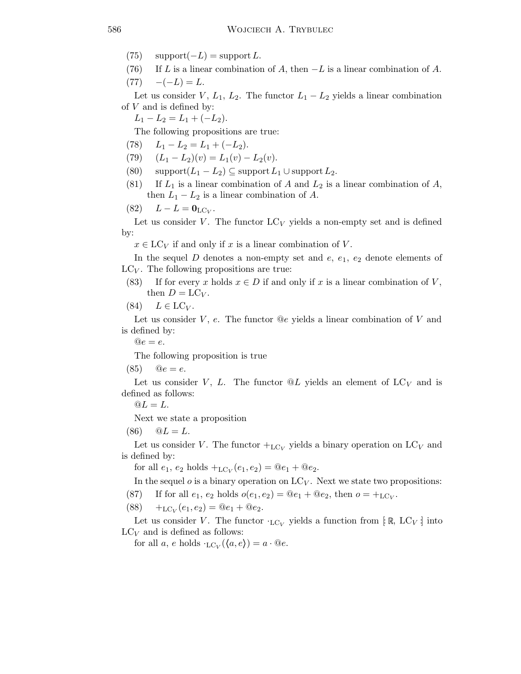- $(75)$  support $(-L)$  = support L.
- (76) If L is a linear combination of A, then  $-L$  is a linear combination of A.

 $(77) \quad -(-L) = L.$ 

Let us consider V,  $L_1$ ,  $L_2$ . The functor  $L_1 - L_2$  yields a linear combination of  $V$  and is defined by:

 $L_1 - L_2 = L_1 + (-L_2).$ 

The following propositions are true:

- (78)  $L_1 L_2 = L_1 + (-L_2).$
- (79)  $(L_1 L_2)(v) = L_1(v) L_2(v).$
- (80) support $(L_1 L_2) \subseteq$  support  $L_1 \cup$  support  $L_2$ .
- (81) If  $L_1$  is a linear combination of A and  $L_2$  is a linear combination of A, then  $L_1 - L_2$  is a linear combination of A.

$$
(82) \qquad L - L = \mathbf{0}_{\mathrm{LC}_V}.
$$

Let us consider V. The functor  $LC_V$  yields a non-empty set and is defined by:

 $x \in \mathrm{LC}_V$  if and only if x is a linear combination of V.

In the sequel D denotes a non-empty set and  $e, e_1, e_2$  denote elements of  $LC_V$ . The following propositions are true:

(83) If for every x holds  $x \in D$  if and only if x is a linear combination of V, then  $D = LC_V$ .

$$
(84) \quad L \in \text{LC}_V.
$$

Let us consider  $V$ ,  $e$ . The functor  $@e$  yields a linear combination of  $V$  and is defined by:

 $@e = e.$ 

The following proposition is true

(85)  $@e = e.$ 

Let us consider V, L. The functor  $@L$  yields an element of  $LC_V$  and is defined as follows:

 $@L = L.$ 

Next we state a proposition

 $(86) \quad \ \ \, \mathbb{Q}L = L.$ 

Let us consider V. The functor  $+_{\text{LC}_V}$  yields a binary operation on LC<sub>V</sub> and is defined by:

for all  $e_1, e_2$  holds  $+_{\text{LC}_V}(e_1, e_2) = \mathbb{Q}e_1 + \mathbb{Q}e_2$ .

In the sequel  $o$  is a binary operation on  $LC_V$ . Next we state two propositions:

(87) If for all  $e_1, e_2$  holds  $o(e_1, e_2) = \mathbb{Q}e_1 + \mathbb{Q}e_2$ , then  $o = +{}_{\text{LC}_V}$ .

$$
(88) +_{\text{LC}_V}(e_1, e_2) = @e_1 + @e_2.
$$

Let us consider V. The functor  $\cdot_{\text{LC}_V}$  yields a function from [R, LC<sub>V</sub>] into  $LC_V$  and is defined as follows:

for all  $a, e$  holds  $L_{\text{C}_V}(\langle a, e \rangle) = a \cdot \mathbb{Q}e$ .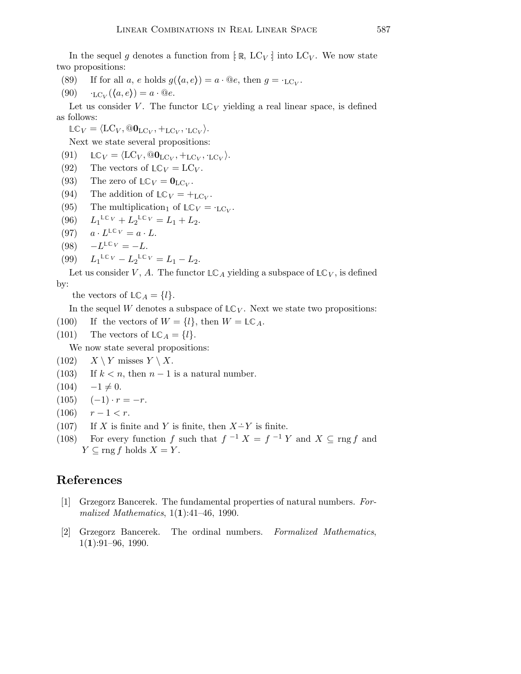In the sequel g denotes a function from  $\lbrack \mathbb{R}, LC_V \rbrack$  into  $LC_V$ . We now state two propositions:

- (89) If for all a, e holds  $g(\langle a, e \rangle) = a \cdot \mathbb{Q}e$ , then  $g = \mathcal{L}_{\text{LC}_V}$ .
- (90)  $\iota_{\text{LC}_V}(\langle a, e \rangle) = a \cdot \mathbb{Q}e.$

Let us consider V. The functor  $\mathbb{L} \mathbb{C}_V$  yielding a real linear space, is defined as follows:

 $\mathbb{LC}_V = \langle \text{LC}_V, \textcircled{0}_{\text{LC}_V}, +_{\text{LC}_V}, \cdot_{\text{LC}_V} \rangle.$ 

Next we state several propositions:

(91)  $LC_V = \langle LC_V, @\mathbf{0}_{LC_V}, +_{LC_V}, \cdot_{LC_V} \rangle.$ 

- (92) The vectors of  $LC_V = LC_V$ .
- (93) The zero of  $\mathbb{LC}_V = \mathbf{0}_{\mathbb{LC}_V}$ .
- (94) The addition of  $\mathbb{LC}_V = +_{\mathbb{LC}_V}$ .
- (95) The multiplication of  $LC_V = C_V$ .
- $(96)$  $\mathbb{L} \mathbb{C}_V + L_2 \mathbb{L} \mathbb{C}_V = L_1 + L_2.$
- $(97)$  $^{\mathbb{LC}V} = a \cdot L.$
- $(98)$  $^{\mathbb{LC}}V = -L.$

(99) 
$$
L_1^{\mathbb{LC}V} - L_2^{\mathbb{LC}V} = L_1 - L_2.
$$

Let us consider V, A. The functor  $\mathbb{LC}_A$  yielding a subspace of  $\mathbb{LC}_V$ , is defined by:

the vectors of  $LC_A = \{l\}.$ 

In the sequel W denotes a subspace of  $LC_V$ . Next we state two propositions:

- (100) If the vectors of  $W = \{l\}$ , then  $W = \mathbb{LC}_A$ .
- (101) The vectors of  $LC_A = \{l\}.$

We now state several propositions:

- $(102)$   $X \ Y$  misses  $Y \ X$ .
- (103) If  $k < n$ , then  $n 1$  is a natural number.
- $(104) -1 \neq 0.$

$$
(105) \quad (-1) \cdot r = -r.
$$

- $(106)$   $r-1 < r$ .
- (107) If X is finite and Y is finite, then  $X \dot{=} Y$  is finite.
- (108) For every function f such that  $f^{-1} X = f^{-1} Y$  and  $X \subseteq \text{rng } f$  and  $Y \subseteq \text{rng } f$  holds  $X = Y$ .

## References

- [1] Grzegorz Bancerek. The fundamental properties of natural numbers. Formalized Mathematics,  $1(1):41-46$ , 1990.
- [2] Grzegorz Bancerek. The ordinal numbers. Formalized Mathematics,  $1(1):91-96, 1990.$